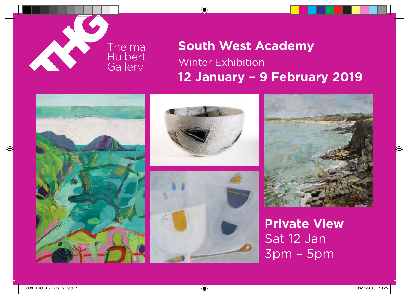

# **South West Academy** Winter Exhibition **12 January – 9 February 2019**









**Private View** Sat 12 Jan 3pm – 5pm